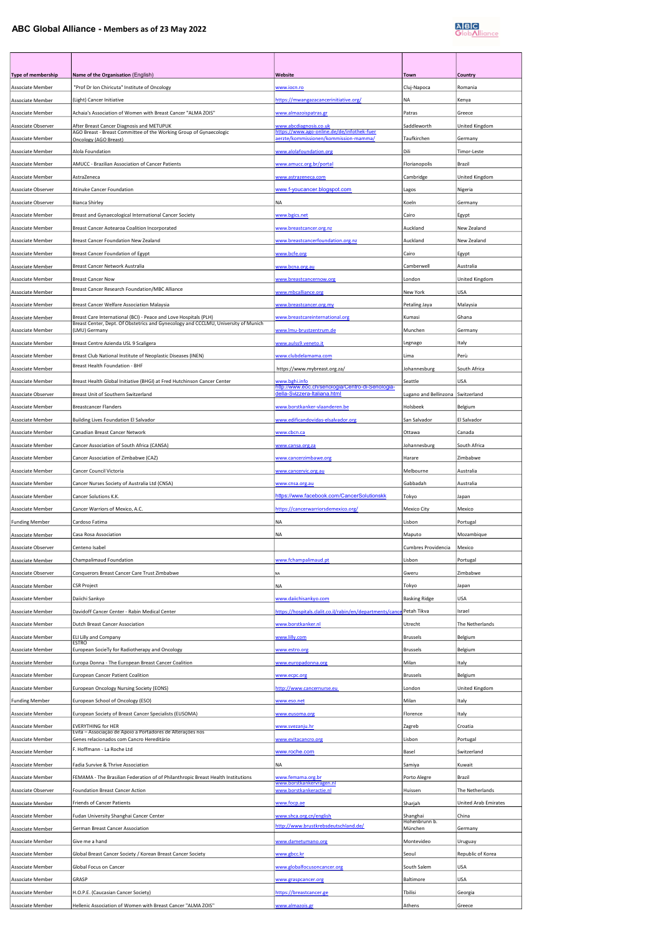## ABC Global Alliance - Members as of 23 May 2022



| Type of membership                   | Name of the Organisation (English)                                                                                                                     | Website                                                                          | Town                                 | Country               |
|--------------------------------------|--------------------------------------------------------------------------------------------------------------------------------------------------------|----------------------------------------------------------------------------------|--------------------------------------|-----------------------|
| Associate Member                     | "Prof Dr Ion Chiricuta" Institute of Oncology                                                                                                          | www.iocn.ro                                                                      | Cluj-Napoca                          | Romania               |
| Associate Member                     | (Light) Cancer Initiative                                                                                                                              | https://mwangazacancerinitiative.org/                                            | NA                                   | Kenya                 |
| Associate Member                     | Achaia's Association of Women with Breast Cancer "ALMA ZOIS"                                                                                           | www.almazoispatras.gr                                                            | Patras                               | Greece                |
| Associate Observer                   | After Breast Cancer Diagnosis and METUPUK<br>AGO Breast - Breast Committee of the Working Group of Gynaecologic                                        | www.abcdiagnosis.co.uk<br>ne.de/de/infothek-fuer                                 | Saddleworth                          | United Kingdom        |
| Associate Member                     | <b>Oncology (AGO Breast)</b>                                                                                                                           | erzte/kommissionen/kommission-mamma/                                             | Taufkirchen                          | Germany               |
| Associate Member<br>Associate Member | Alola Foundation<br>AMUCC - Brazilian Association of Cancer Patients                                                                                   | www.alolafoundation.org<br>www.amucc.org.br/portal                               | Dili<br>Florianopolis                | Timor-Leste<br>Brazil |
| Associate Member                     | AstraZeneca                                                                                                                                            | www.astrazeneca.com                                                              | Cambridge                            | United Kingdom        |
| Associate Observer                   | Atinuke Cancer Foundation                                                                                                                              | www.f-youcancer.blogspot.com                                                     | Lagos                                | Nigeria               |
| Associate Observer                   | <b>Bianca Shirley</b>                                                                                                                                  | <b>NA</b>                                                                        | Koeln                                | Germany               |
| Associate Member                     | Breast and Gynaecological International Cancer Society                                                                                                 | www.bgics.net                                                                    | Cairo                                | Egypt                 |
| Associate Member                     | Breast Cancer Aotearoa Coalition Incorporated                                                                                                          | www.breastcancer.org.nz                                                          | Auckland                             | New Zealand           |
| Associate Member                     | Breast Cancer Foundation New Zealand                                                                                                                   | www.breastcancerfoundation.org.nz                                                | Auckland                             | New Zealand           |
| Associate Member                     | Breast Cancer Foundation of Egypt                                                                                                                      | www.bcfe.org                                                                     | Cairo                                | Egypt                 |
| Associate Member                     | Breast Cancer Network Australia                                                                                                                        | www.bcna.org.au                                                                  | Camberwell                           | Australia             |
| <b>Associate Member</b>              | <b>Breast Cancer Now</b>                                                                                                                               | www.breastcancernow.org                                                          | London                               | United Kingdom        |
| Associate Member                     | Breast Cancer Research Foundation/MBC Alliance                                                                                                         | www.mbcalliance.org                                                              | New York                             | USA                   |
| <b>Associate Member</b>              | Breast Cancer Welfare Association Malaysia                                                                                                             | www.breastcancer.org.my                                                          | Petaling Jaya                        | Malaysia              |
| Associate Member                     | Breast Care International (BCI) - Peace and Love Hospitals (PLH)<br>Breast Center, Dept. Of Obstetrics and Gynecology and CCCLMU, University of Munich | www.breastcareinternational.org                                                  | Kumasi                               | Ghana                 |
| Associate Member                     | (LMU) Germany                                                                                                                                          | www.lmu-brustzentrum.de                                                          | Munchen                              | Germany               |
| Associate Member                     | Breast Centre Azienda USL 9 Scaligera                                                                                                                  | www.aulss9.veneto.it                                                             | Legnago                              | Italy                 |
| Associate Member<br>Associate Member | Breast Club National Institute of Neoplastic Diseases (INEN)<br><b>Breast Health Foundation - BHF</b>                                                  | www.clubdelamama.com<br>https://www.mybreast.org.za/                             | Lima<br>Johannesburg                 | Perù<br>South Africa  |
| Associate Member                     | Breast Health Global Initiative (BHGI) at Fred Hutchinson Cancer Center                                                                                | vww.behi.info                                                                    | Seattle                              | USA                   |
| Associate Observer                   | Breast Unit of Southern Switzerland                                                                                                                    | http://www.eoc.ch/senologia/Centro-di-Senologia-<br>della-Svizzera-Italiana.html | Lugano and Bellinzona                | Switzerland           |
| Associate Member                     | <b>Breastcancer Flanders</b>                                                                                                                           | www.borstkanker-vlaanderen.be                                                    | Holsbeek                             | Belgium               |
| Associate Member                     | Building Lives Foundation El Salvador                                                                                                                  | www.edificandovidas-elsalvador.org                                               | San Salvador                         | El Salvador           |
| Associate Member                     | Canadian Breast Cancer Network                                                                                                                         | <u>www.cbcn.ca</u>                                                               | Ottawa                               | Canada                |
| <b>Associate Member</b>              | Cancer Association of South Africa (CANSA)                                                                                                             | www.cansa.org.za                                                                 | Johannesburg                         | South Africa          |
| Associate Member                     | Cancer Association of Zimbabwe (CAZ)                                                                                                                   | www.cancerzimbawe.org                                                            | Harare                               | Zimbabwe              |
| Associate Member                     | Cancer Council Victoria                                                                                                                                | www.cancervic.org.au                                                             | Melbourne                            | Australia             |
| Associate Member                     | Cancer Nurses Society of Australia Ltd (CNSA)                                                                                                          | www.cnsa.org.au                                                                  | Gabbadah                             | Australia             |
| Associate Member                     | Cancer Solutions K.K.                                                                                                                                  | https://www.facebook.com/CancerSolutionskk                                       | Tokyo                                | Japan                 |
| Associate Member                     | Cancer Warriors of Mexico, A.C.                                                                                                                        | https://cancerwarriorsdemexico.org/                                              | Mexico City                          | Mexico                |
| <b>Funding Member</b>                | Cardoso Fatima                                                                                                                                         | <b>NA</b>                                                                        | Lisbon                               | Portugal              |
| Associate Member                     | Casa Rosa Association                                                                                                                                  | NA                                                                               | Maputo                               | Mozambique            |
| Associate Observer                   | Centeno Isabel                                                                                                                                         |                                                                                  | Cumbres Providencia                  | Mexico                |
| Associate Member                     | Champalimaud Foundation                                                                                                                                | www.fchampalimaud.pt                                                             | Lisbon                               | Portugal              |
| Associate Observer                   | Conquerors Breast Cancer Care Trust Zimbabwe                                                                                                           | NA                                                                               | Gweru                                | Zimbabwe              |
| Associate Member<br>Associate Member | CSR Project<br>Daiichi Sankyo                                                                                                                          | NA<br>www.daiichisankyo.com                                                      | Tokyo<br><b>Basking Ridge</b>        | Japan<br>USA          |
| Associate Member                     | Davidoff Cancer Center - Rabin Medical Center                                                                                                          | https://hospitals.clalit.co.il/rabin/en/departments/cance Petah Tikva            |                                      | Israel                |
| Associate Member                     | Dutch Breast Cancer Association                                                                                                                        | www.borstkanker.nl                                                               | Utrecht                              | The Netherlands       |
| <b>Associate Member</b>              | ELI Lilly and Company                                                                                                                                  | www.lilly.com                                                                    | <b>Brussels</b>                      | Belgium               |
| Associate Member                     | <b>ESTRO</b><br>European SocieTy for Radiotherapy and Oncology                                                                                         | www.estro.org                                                                    | <b>Brussels</b>                      | Belgium               |
| Associate Member                     |                                                                                                                                                        |                                                                                  | Milan                                | Italy                 |
|                                      | Europa Donna - The European Breast Cancer Coalition                                                                                                    | www.europadonna.org                                                              |                                      |                       |
| Associate Member                     | <b>European Cancer Patient Coalition</b>                                                                                                               | www.ecpc.org                                                                     | <b>Brussels</b>                      | Belgium               |
| Associate Member                     | European Oncology Nursing Society (EONS)                                                                                                               | http://www.cancernurse.eu                                                        | London                               | United Kingdom        |
| <b>Funding Member</b>                | European School of Oncology (ESO)                                                                                                                      | www.eso.net                                                                      | Milan                                | Italy                 |
| Associate Member                     | European Society of Breast Cancer Specialists (EUSOMA)                                                                                                 | www.eusoma.org                                                                   | Florence                             | Italy                 |
| Associate Member                     | <b>EVERYTHING for HER</b><br>Evita - Associação de Apoio a Portadores de Alterações nos                                                                | www.svezanju.hr                                                                  | Zagreb                               | Croatia               |
| Associate Member                     | Genes relacionados com Cancro Hereditário                                                                                                              | www.evitacancro.org                                                              | Lisbon                               | Portugal              |
| Associate Member                     | F. Hoffmann - La Roche Ltd                                                                                                                             | www.roche.com                                                                    | Basel                                | Switzerland           |
| <b>Associate Member</b>              | Fadia Survive & Thrive Association                                                                                                                     | <b>NA</b>                                                                        | Samiya                               | Kuwait                |
| Associate Member                     | FEMAMA - The Brasilian Federation of of Philanthropic Breast Health Institutions                                                                       | www.femama.org.br<br>www.borstkankervragen.nl                                    | Porto Alegre                         | Brazil                |
| Associate Observer                   | Foundation Breast Cancer Action                                                                                                                        | www.borstkankeractie.nl                                                          | Huissen                              | The Netherlands       |
| Associate Member                     | Friends of Cancer Patients                                                                                                                             | www.focp.ae                                                                      | Sharjah                              | United Arab Emirates  |
| Associate Member<br>Associate Member | Fudan University Shanghai Cancer Center<br>German Breast Cancer Association                                                                            | www.shca.org.cn/english<br>http://www.brustkrebsdeutschland.de/                  | Shanghai<br>Hohenbrunn b.<br>München | China<br>Germany      |
| Associate Member                     | Give me a hand                                                                                                                                         | www.dametumano.org                                                               | Montevideo                           | Uruguay               |
| Associate Member                     | Global Breast Cancer Society / Korean Breast Cancer Society                                                                                            | www.gbcc.kr                                                                      | Seoul                                | Republic of Korea     |
| Associate Member                     | Global Focus on Cancer                                                                                                                                 | www.globalfocusoncancer.org                                                      | South Salem                          | USA                   |
| Associate Member                     | GRASP                                                                                                                                                  | www.graspcancer.org                                                              | Baltimore                            | <b>USA</b>            |
| Associate Member                     | H.O.P.E. (Caucasian Cancer Society)                                                                                                                    | https://breastcancer.ge                                                          | Tbilisi                              | Georgia               |